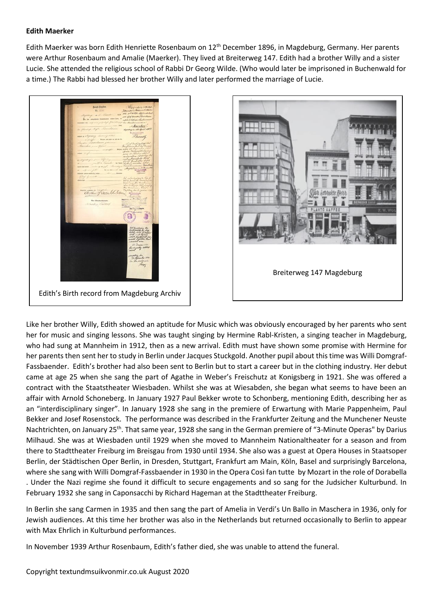## **Edith Maerker**

Edith Maerker was born Edith Henriette Rosenbaum on 12<sup>th</sup> December 1896, in Magdeburg, Germany. Her parents were Arthur Rosenbaum and Amalie (Maerker). They lived at Breiterweg 147. Edith had a brother Willy and a sister Lucie. She attended the religious school of Rabbi Dr Georg Wilde. (Who would later be imprisoned in Buchenwald for a time.) The Rabbi had blessed her brother Willy and later performed the marriage of Lucie.

Edith's Birth record from Magdeburg Archiv



Like her brother Willy, Edith showed an aptitude for Music which was obviously encouraged by her parents who sent her for music and singing lessons. She was taught singing by Hermine Rabl-Kristen, a singing teacher in Magdeburg, who had sung at Mannheim in 1912, then as a new arrival. Edith must have shown some promise with Hermine for her parents then sent her to study in Berlin under Jacques Stuckgold. Another pupil about this time was Willi Domgraf-Fassbaender. Edith's brother had also been sent to Berlin but to start a career but in the clothing industry. Her debut came at age 25 when she sang the part of Agathe in Weber's Freischutz at Konigsberg in 1921. She was offered a contract with the Staatstheater Wiesbaden. Whilst she was at Wiesabden, she began what seems to have been an affair with Arnold Schoneberg. In January 1927 Paul Bekker wrote to Schonberg, mentioning Edith, describing her as an "interdisciplinary singer". In January 1928 she sang in the premiere of Erwartung with Marie Pappenheim, Paul Bekker and Josef Rosenstock. The performance was described in the Frankfurter Zeitung and the Munchener Neuste Nachtrichten, on January 25<sup>th</sup>. That same year, 1928 she sang in the German premiere of "3-Minute Operas" by Darius Milhaud. She was at Wiesbaden until 1929 when she moved to Mannheim Nationaltheater for a season and from there to Stadttheater Freiburg im Breisgau from 1930 until 1934. She also was a guest at Opera Houses in Staatsoper Berlin, der Städtischen Oper Berlin, in Dresden, Stuttgart, Frankfurt am Main, Köln, Basel and surprisingly Barcelona, where she sang with Willi Domgraf-Fassbaender in 1930 in the Opera Così fan tutte by Mozart in the role of Dorabella . Under the Nazi regime she found it difficult to secure engagements and so sang for the Judsicher Kulturbund. In February 1932 she sang in Caponsacchi by Richard Hageman at the Stadttheater Freiburg.

In Berlin she sang Carmen in 1935 and then sang the part of Amelia in Verdi's Un Ballo in Maschera in 1936, only for Jewish audiences. At this time her brother was also in the Netherlands but returned occasionally to Berlin to appear with Max Ehrlich in Kulturbund performances.

In November 1939 Arthur Rosenbaum, Edith's father died, she was unable to attend the funeral.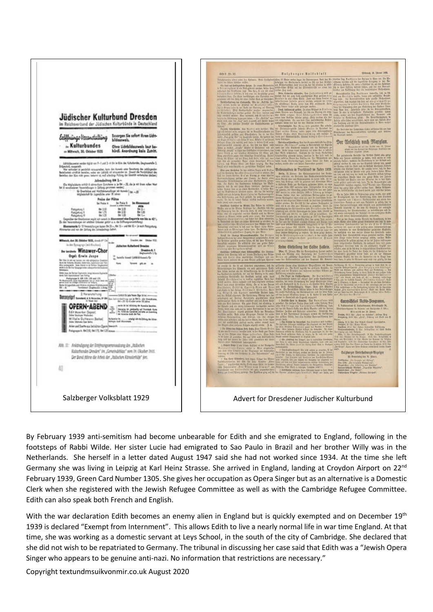

By February 1939 anti-semitism had become unbearable for Edith and she emigrated to England, following in the footsteps of Rabbi Wilde. Her sister Lucie had emigrated to Sao Paulo in Brazil and her brother Willy was in the Netherlands. She herself in a letter dated August 1947 said she had not worked since 1934. At the time she left Germany she was living in Leipzig at Karl Heinz Strasse. She arrived in England, landing at Croydon Airport on 22<sup>nd</sup> February 1939, Green Card Number 1305. She gives her occupation as Opera Singer but as an alternative is a Domestic Clerk when she registered with the Jewish Refugee Committee as well as with the Cambridge Refugee Committee. Edith can also speak both French and English.

With the war declaration Edith becomes an enemy alien in England but is quickly exempted and on December 19<sup>th</sup> 1939 is declared "Exempt from Internment". This allows Edith to live a nearly normal life in war time England. At that time, she was working as a domestic servant at Leys School, in the south of the city of Cambridge. She declared that she did not wish to be repatriated to Germany. The tribunal in discussing her case said that Edith was a "Jewish Opera Singer who appears to be genuine anti-nazi. No information that restrictions are necessary."

Copyright textundmsuikvonmir.co.uk August 2020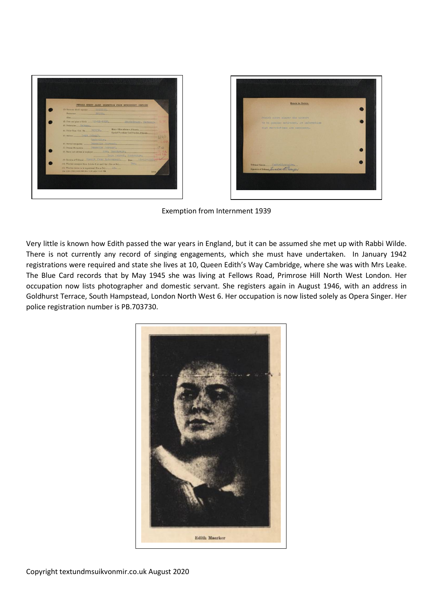



Exemption from Internment 1939

Very little is known how Edith passed the war years in England, but it can be assumed she met up with Rabbi Wilde. There is not currently any record of singing engagements, which she must have undertaken. In January 1942 registrations were required and state she lives at 10, Queen Edith's Way Cambridge, where she was with Mrs Leake. The Blue Card records that by May 1945 she was living at Fellows Road, Primrose Hill North West London. Her occupation now lists photographer and domestic servant. She registers again in August 1946, with an address in Goldhurst Terrace, South Hampstead, London North West 6. Her occupation is now listed solely as Opera Singer. Her police registration number is PB.703730.

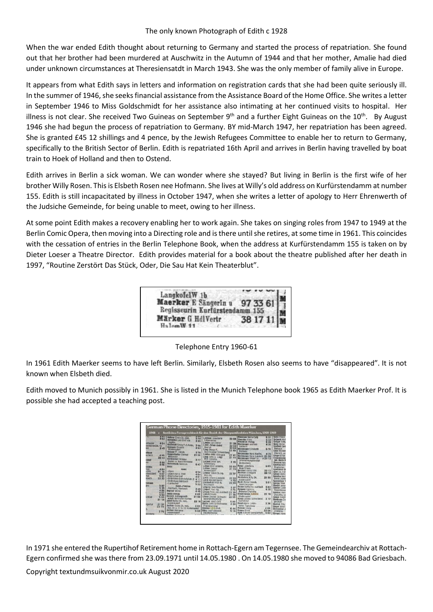## The only known Photograph of Edith c 1928

When the war ended Edith thought about returning to Germany and started the process of repatriation. She found out that her brother had been murdered at Auschwitz in the Autumn of 1944 and that her mother, Amalie had died under unknown circumstances at Theresiensatdt in March 1943. She was the only member of family alive in Europe.

It appears from what Edith says in letters and information on registration cards that she had been quite seriously ill. In the summer of 1946, she seeks financial assistance from the Assistance Board of the Home Office. She writes a letter in September 1946 to Miss Goldschmidt for her assistance also intimating at her continued visits to hospital. Her illness is not clear. She received Two Guineas on September 9<sup>th</sup> and a further Eight Guineas on the 10<sup>th</sup>. By August 1946 she had begun the process of repatriation to Germany. BY mid-March 1947, her repatriation has been agreed. She is granted £45 12 shillings and 4 pence, by the Jewish Refugees Committee to enable her to return to Germany, specifically to the British Sector of Berlin. Edith is repatriated 16th April and arrives in Berlin having travelled by boat train to Hoek of Holland and then to Ostend.

Edith arrives in Berlin a sick woman. We can wonder where she stayed? But living in Berlin is the first wife of her brother Willy Rosen. This is Elsbeth Rosen nee Hofmann. She lives at Willy's old address on Kurfürstendamm at number 155. Edith is still incapacitated by illness in October 1947, when she writes a letter of apology to Herr Ehrenwerth of the Judsiche Gemeinde, for being unable to meet, owing to her illness.

At some point Edith makes a recovery enabling her to work again. She takes on singing roles from 1947 to 1949 at the Berlin Comic Opera, then moving into a Directing role and is there until she retires, at some time in 1961. This coincides with the cessation of entries in the Berlin Telephone Book, when the address at Kurfürstendamm 155 is taken on by Dieter Loeser a Theatre Director. Edith provides material for a book about the theatre published after her death in 1997, "Routine Zerstört Das Stück, Oder, Die Sau Hat Kein Theaterblut".

| LangkofelW 1b                  |          |
|--------------------------------|----------|
| Maerker E Sängerin u           | 97 33 61 |
| Regisseurin Kurfürstendamm 155 |          |
| Märker G HdlVertr              | 38 17 1  |
| $H_0$ lam $W_1$ 11             |          |

Telephone Entry 1960-61

In 1961 Edith Maerker seems to have left Berlin. Similarly, Elsbeth Rosen also seems to have "disappeared". It is not known when Elsbeth died.

Edith moved to Munich possibly in 1961. She is listed in the Munich Telephone book 1965 as Edith Maerker Prof. It is possible she had accepted a teaching post.

| π.                |                 | Hoteler Erwin Dr. med.                                     |             |                                           |               | <b>Ramsager Maria Café</b>                    | 5.21  | Seitz Franz                         |
|-------------------|-----------------|------------------------------------------------------------|-------------|-------------------------------------------|---------------|-----------------------------------------------|-------|-------------------------------------|
|                   | 731             | Hobesthal Leo Graf van                                     | <b>5 58</b> | Lachauer Ancernicio<br>Lebenswitsel       | 2268          | <b>Raschke Ernert</b>                         | 6 62  | Salvald Aloh                        |
|                   |                 | Jouster.                                                   | $X$ RQ      | Lasdes Karl-Heinz                         |               | Raunbild-Verlag                               | 5.26  | <b>Seliger Arthur</b>               |
| steater           | 404             | Holdesled Georg P.O.Antin. 3 06                            |             | Laner-Schub GenH                          |               | 21 28 Rechesser Antreas                       | 430   | Secte Welter                        |
| whainerStr.10     |                 | <b>Holzhold Richard</b>                                    | 363         | Oberloit                                  | 2202          | Gastwirt.                                     |       | Souffert Gert                       |
|                   | 3.45            | <b>Nederovicet</b>                                         |             | Lase Otwar F.                             | 2204<br>23 45 | <b>Rechenger Flissbeth</b>                    | 5.70  | Relision                            |
| states            |                 | Holzner F. Immob.                                          | 379         | Schriftsteller Schweinberg                |               | Bicterol                                      |       | Siber Walden                        |
| lochisch:         | 4 95            | <b>Hopporthatter Gortrod</b>                               | 21.98       | Laskes-Hill Hildrond                      | 23.41         | Rechenzuer Hans Kauftre,                      | 435   | Obersitt, a.g                       |
|                   | 22.43           | Massouse                                                   |             | Lawd Arriv u. Lawd                        | 2111          | Rechenner Hars Landwirt 21.38                 |       | Slogar Filim<br>Sitoasbirhin        |
| sthed             |                 | Hambacher Hormann                                          | 377         | With Gastens,                             |               | Rechenager Ottmar Dr. 02112                   |       | lah, Maria R.                       |
| m                 | 3 88            | Kunst- u. Bauschlosserei                                   |             | Lectmer Josef son,                        | 315           | Unternehmungsberater                          |       | <b>Skwarra Hein</b>                 |
|                   | 4.96            | <b>Horaschuch Heinrich</b>                                 | 6.47        | <b>Schinditera</b>                        |               | Wrichseiberg                                  |       | Smettan Maria                       |
| <b>butter</b>     |                 | Hatel                                                      |             | Letner Villi Grothfm.                     | 22 63         | Room Ludwike u.                               | 609   | Riadiciten                          |
| <b>Total</b>      | 484             | <b>Hotel</b>                                               |             | Leiber Caspar                             | 2172          | Haas Frieda<br><b>Reichart Georg Kfm.</b>     |       | Soarkesse Ob                        |
| <b>Child</b>      | 21 18           | $-$ Algan                                                  | 454         | Niederausert                              |               | Reichart Hildegard                            | 22.12 | Spen B. Fan                         |
| <b>VÄUSSÜDINT</b> | 4.07            | - Alpennose u. Post                                        | 4 B4        | Lenner Albert Dr. Inc.<br>Dipt.inc.       | 22.57         | Garecalvary.                                  | 22 12 | Spiegi Hans I                       |
| tém               | 5.57            | -Bawlscher Hef                                             | 461         | Lerch Johann Landwirt                     |               | Reichstein Hilly Dr.                          | 21.50 | Spindier Mort                       |
| <b>Idazen</b>     | 22 32           | - Brünnstein Bahrhefplatz 3                                | 411         | Lerch Mrx Metzgerei                       | 2233          | Niederaufort                                  |       | woren <i>Aserba</i>                 |
| <b>Failant</b>    |                 | -Grafenburg Mithfbach                                      | 457         | Lichtesfrid Arlin M.                      | 472<br>2234   | Roldt Wetner Immch.                           | 591   | Spothtimer <sup>7</sup>             |
|                   |                 | +Luisbacher                                                | 5 2 2       | <b>Holzinsort</b>                         |               | Versicherungen                                |       | Spresa Theo                         |
| su                | 597             | Hotel-Presion                                              |             | Linuxra Hara Bandfur,                     | 3.27          | Reiser Kottgring Auerbach                     | 583   | Stadler Anna<br><b>Stadler Ludw</b> |
|                   | 535<br>486      | - Autritech, Auerbach                                      | 329         | Lingent Paul Ing.                         | 4.70          | Reiserer Centa u.                             | 438   | Reparaturwa                         |
|                   |                 | <b>Hepfauf Marga</b>                                       | 4.69        | Lingen Peter van Austhach 22 25           |               | Reiserer Charlotte                            |       | Städtler Horst                      |
|                   | $rac{401}{553}$ | Inntal-Verlag                                              | 6.63        | Loesch Ursutz                             | 2139          | Rendelsmann Isubella                          | 21 19 | <b>DipLKim, Un</b>                  |
| 1 Ried            | 565             | <b>Insurix Aktionposels</b>                                | 2188        | Löster D etnar Schnuck-                   | 22.09         | Niederaustorf                                 |       | <b>Stanul Singhi</b>                |
|                   | 21 14           | scioft assimile Buchau                                     |             | warenrorothandrung                        |               | Resch Johann Schneidereil                     | 3 17  | Stattmann Jos                       |
|                   |                 | Jobst Walter Dr. med.                                      |             | 22 16 Luckner Josef Café                  | 5.00          | Keefektion                                    |       | geschäft                            |
| soeritur          | 2137            | Niederaudorf                                               |             | Mache Arrio Schreibwergn                  | 424           | Resch Maria Loder-<br><b>Horen Tapezlergy</b> | 336   | Steblish Film                       |
|                   | 2372            | Jechner Guido Dr. med.                                     |             | 3 91 Frendergimmer                        |               | <b>Resman Georg</b>                           | 484   | Steper Josef                        |
|                   |                 | Spr. Di u. Fr 9-11 Niederaudorf<br><b>Jachser Merianna</b> |             | Maerleer Edith Prof.                      | 6.44          | Risber Ernst                                  | 23.06 | <b>Steinmüller</b> Jr.              |
|                   | 376             | Niederzudorf                                               |             | 6 03 März Jusef Glaserel<br>Haushaltwaren | 616           | Riedi Kanrad Sperglernstr.                    |       | <b>2</b> Immeras                    |
| alman             |                 | <b>Madelphone Contract</b>                                 |             | the air chains in an                      |               |                                               | 5.54  | Stessel Hans                        |

In 1971 she entered the Rupertihof Retirement home in Rottach-Egern am Tegernsee. The Gemeindearchiv at Rottach-Egern confirmed she was there from 23.09.1971 until 14.05.1980 . On 14.05.1980 she moved to 94086 Bad Griesbach.

Copyright textundmsuikvonmir.co.uk August 2020